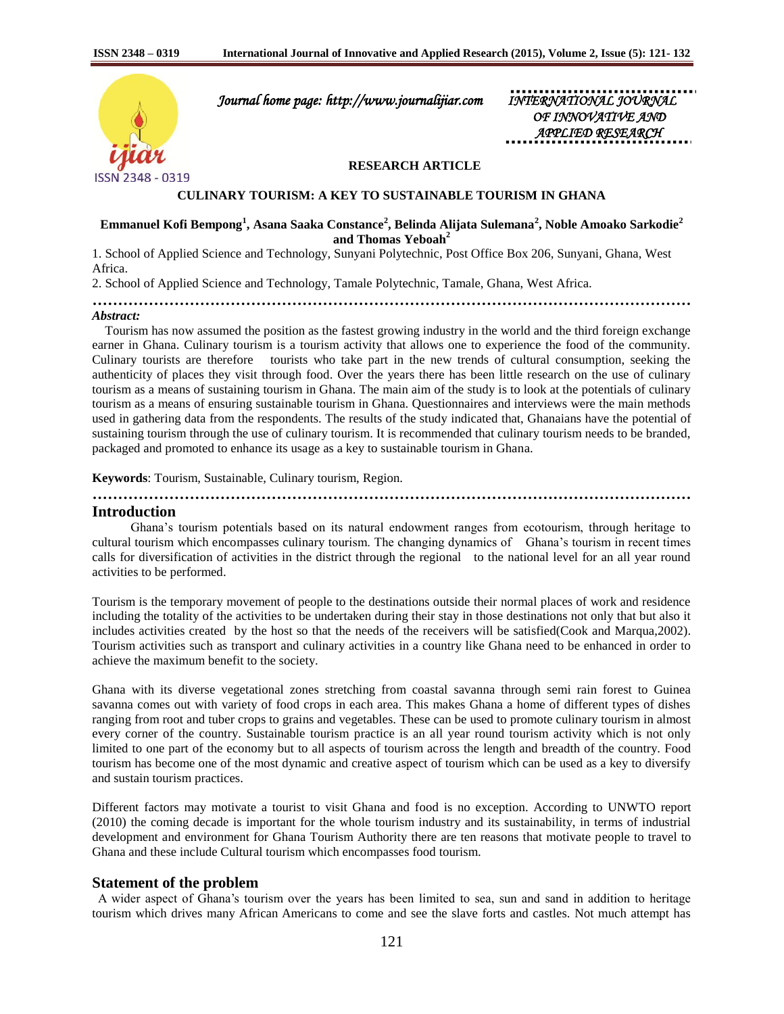

 *Journal home page: http://www.journalijiar.com INTERNATIONAL JOURNAL* 

 *OF INNOVATIVE AND APPLIED RESEARCH* 

### **RESEARCH ARTICLE**

**CULINARY TOURISM: A KEY TO SUSTAINABLE TOURISM IN GHANA**

**Emmanuel Kofi Bempong<sup>1</sup> , Asana Saaka Constance<sup>2</sup> , Belinda Alijata Sulemana<sup>2</sup> , Noble Amoako Sarkodie<sup>2</sup> and Thomas Yeboah<sup>2</sup>**

1. School of Applied Science and Technology, Sunyani Polytechnic, Post Office Box 206, Sunyani, Ghana, West Africa.

2. School of Applied Science and Technology, Tamale Polytechnic, Tamale, Ghana, West Africa.

**………………………………………………………………………………………………………**

#### *Abstract:*

 Tourism has now assumed the position as the fastest growing industry in the world and the third foreign exchange earner in Ghana. Culinary tourism is a tourism activity that allows one to experience the food of the community. Culinary tourists are therefore tourists who take part in the new trends of cultural consumption, seeking the authenticity of places they visit through food. Over the years there has been little research on the use of culinary tourism as a means of sustaining tourism in Ghana. The main aim of the study is to look at the potentials of culinary tourism as a means of ensuring sustainable tourism in Ghana. Questionnaires and interviews were the main methods used in gathering data from the respondents. The results of the study indicated that, Ghanaians have the potential of sustaining tourism through the use of culinary tourism. It is recommended that culinary tourism needs to be branded, packaged and promoted to enhance its usage as a key to sustainable tourism in Ghana.

**Keywords**: Tourism, Sustainable, Culinary tourism, Region.

#### **Introduction**

 Ghana's tourism potentials based on its natural endowment ranges from ecotourism, through heritage to cultural tourism which encompasses culinary tourism. The changing dynamics of Ghana's tourism in recent times calls for diversification of activities in the district through the regional to the national level for an all year round activities to be performed.

**………………………………………………………………………………………………………**

Tourism is the temporary movement of people to the destinations outside their normal places of work and residence including the totality of the activities to be undertaken during their stay in those destinations not only that but also it includes activities created by the host so that the needs of the receivers will be satisfied(Cook and Marqua,2002). Tourism activities such as transport and culinary activities in a country like Ghana need to be enhanced in order to achieve the maximum benefit to the society.

Ghana with its diverse vegetational zones stretching from coastal savanna through semi rain forest to Guinea savanna comes out with variety of food crops in each area. This makes Ghana a home of different types of dishes ranging from root and tuber crops to grains and vegetables. These can be used to promote culinary tourism in almost every corner of the country. Sustainable tourism practice is an all year round tourism activity which is not only limited to one part of the economy but to all aspects of tourism across the length and breadth of the country. Food tourism has become one of the most dynamic and creative aspect of tourism which can be used as a key to diversify and sustain tourism practices.

Different factors may motivate a tourist to visit Ghana and food is no exception. According to UNWTO report (2010) the coming decade is important for the whole tourism industry and its sustainability, in terms of industrial development and environment for Ghana Tourism Authority there are ten reasons that motivate people to travel to Ghana and these include Cultural tourism which encompasses food tourism.

#### **Statement of the problem**

 A wider aspect of Ghana's tourism over the years has been limited to sea, sun and sand in addition to heritage tourism which drives many African Americans to come and see the slave forts and castles. Not much attempt has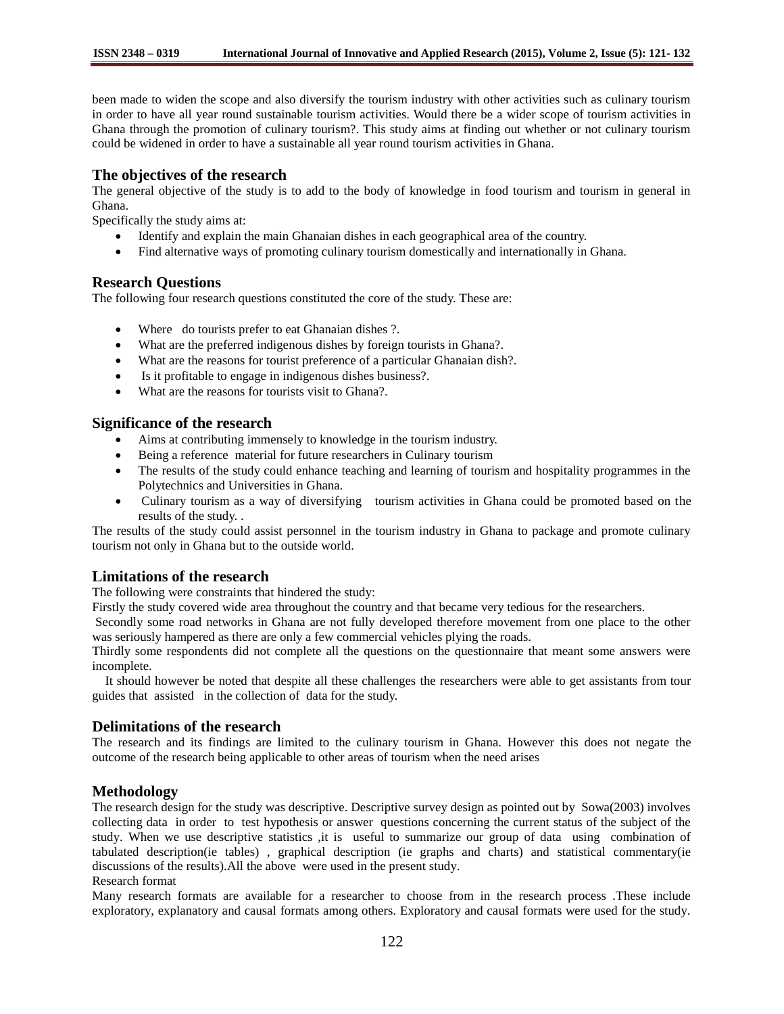been made to widen the scope and also diversify the tourism industry with other activities such as culinary tourism in order to have all year round sustainable tourism activities. Would there be a wider scope of tourism activities in Ghana through the promotion of culinary tourism?. This study aims at finding out whether or not culinary tourism could be widened in order to have a sustainable all year round tourism activities in Ghana.

## **The objectives of the research**

The general objective of the study is to add to the body of knowledge in food tourism and tourism in general in Ghana.

Specifically the study aims at:

- Identify and explain the main Ghanaian dishes in each geographical area of the country.
- Find alternative ways of promoting culinary tourism domestically and internationally in Ghana.

## **Research Questions**

The following four research questions constituted the core of the study. These are:

- Where do tourists prefer to eat Ghanaian dishes ?.
- What are the preferred indigenous dishes by foreign tourists in Ghana?.
- What are the reasons for tourist preference of a particular Ghanaian dish?.
- Is it profitable to engage in indigenous dishes business?.
- What are the reasons for tourists visit to Ghana?.

### **Significance of the research**

- Aims at contributing immensely to knowledge in the tourism industry.
- Being a reference material for future researchers in Culinary tourism
- The results of the study could enhance teaching and learning of tourism and hospitality programmes in the Polytechnics and Universities in Ghana.
- Culinary tourism as a way of diversifying tourism activities in Ghana could be promoted based on the results of the study. .

The results of the study could assist personnel in the tourism industry in Ghana to package and promote culinary tourism not only in Ghana but to the outside world.

## **Limitations of the research**

The following were constraints that hindered the study:

Firstly the study covered wide area throughout the country and that became very tedious for the researchers.

Secondly some road networks in Ghana are not fully developed therefore movement from one place to the other was seriously hampered as there are only a few commercial vehicles plying the roads.

Thirdly some respondents did not complete all the questions on the questionnaire that meant some answers were incomplete.

 It should however be noted that despite all these challenges the researchers were able to get assistants from tour guides that assisted in the collection of data for the study.

## **Delimitations of the research**

The research and its findings are limited to the culinary tourism in Ghana. However this does not negate the outcome of the research being applicable to other areas of tourism when the need arises

# **Methodology**

The research design for the study was descriptive. Descriptive survey design as pointed out by Sowa(2003) involves collecting data in order to test hypothesis or answer questions concerning the current status of the subject of the study. When we use descriptive statistics ,it is useful to summarize our group of data using combination of tabulated description(ie tables) , graphical description (ie graphs and charts) and statistical commentary(ie discussions of the results).All the above were used in the present study.

# Research format

Many research formats are available for a researcher to choose from in the research process .These include exploratory, explanatory and causal formats among others. Exploratory and causal formats were used for the study.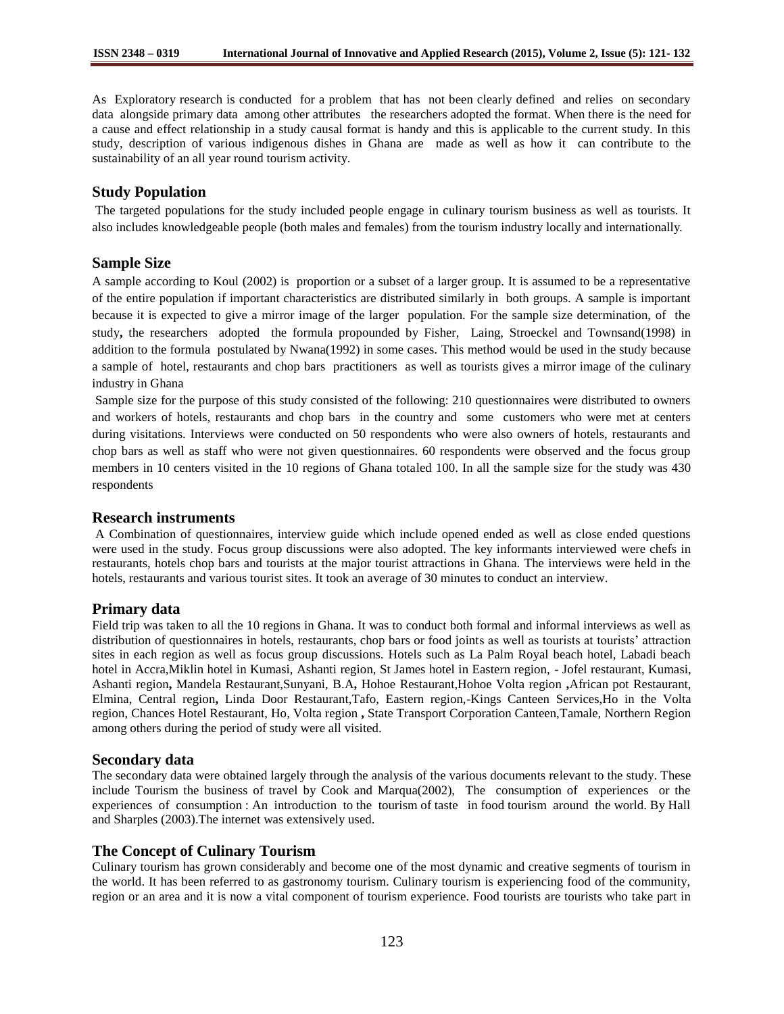As Exploratory research is conducted for a problem that has not been clearly defined and relies on secondary data alongside primary data among other attributes the researchers adopted the format. When there is the need for a cause and effect relationship in a study causal format is handy and this is applicable to the current study. In this study, description of various indigenous dishes in Ghana are made as well as how it can contribute to the sustainability of an all year round tourism activity.

## **Study Population**

The targeted populations for the study included people engage in culinary tourism business as well as tourists. It also includes knowledgeable people (both males and females) from the tourism industry locally and internationally.

## **Sample Size**

A sample according to Koul (2002) is proportion or a subset of a larger group. It is assumed to be a representative of the entire population if important characteristics are distributed similarly in both groups. A sample is important because it is expected to give a mirror image of the larger population. For the sample size determination, of the study**,** the researchers adopted the formula propounded by Fisher, Laing, Stroeckel and Townsand(1998) in addition to the formula postulated by Nwana(1992) in some cases. This method would be used in the study because a sample of hotel, restaurants and chop bars practitioners as well as tourists gives a mirror image of the culinary industry in Ghana

Sample size for the purpose of this study consisted of the following: 210 questionnaires were distributed to owners and workers of hotels, restaurants and chop bars in the country and some customers who were met at centers during visitations. Interviews were conducted on 50 respondents who were also owners of hotels, restaurants and chop bars as well as staff who were not given questionnaires. 60 respondents were observed and the focus group members in 10 centers visited in the 10 regions of Ghana totaled 100. In all the sample size for the study was 430 respondents

## **Research instruments**

A Combination of questionnaires, interview guide which include opened ended as well as close ended questions were used in the study. Focus group discussions were also adopted. The key informants interviewed were chefs in restaurants, hotels chop bars and tourists at the major tourist attractions in Ghana. The interviews were held in the hotels, restaurants and various tourist sites. It took an average of 30 minutes to conduct an interview.

## **Primary data**

Field trip was taken to all the 10 regions in Ghana. It was to conduct both formal and informal interviews as well as distribution of questionnaires in hotels, restaurants, chop bars or food joints as well as tourists at tourists' attraction sites in each region as well as focus group discussions. Hotels such as La Palm Royal beach hotel, Labadi beach hotel in Accra,Miklin hotel in Kumasi, Ashanti region, St James hotel in Eastern region, - Jofel restaurant, Kumasi, Ashanti region**,** Mandela Restaurant,Sunyani, B.A**,** Hohoe Restaurant,Hohoe Volta region **,**African pot Restaurant, Elmina, Central region**,** Linda Door Restaurant,Tafo, Eastern region,-Kings Canteen Services,Ho in the Volta region, Chances Hotel Restaurant, Ho, Volta region **,** State Transport Corporation Canteen,Tamale, Northern Region among others during the period of study were all visited.

### **Secondary data**

The secondary data were obtained largely through the analysis of the various documents relevant to the study. These include Tourism the business of travel by Cook and Marqua(2002), The consumption of experiences or the experiences of consumption : An introduction to the tourism of taste in food tourism around the world. By Hall and Sharples (2003).The internet was extensively used.

## **The Concept of Culinary Tourism**

Culinary tourism has grown considerably and become one of the most dynamic and creative segments of tourism in the world. It has been referred to as gastronomy tourism. Culinary tourism is experiencing food of the community, region or an area and it is now a vital component of tourism experience. Food tourists are tourists who take part in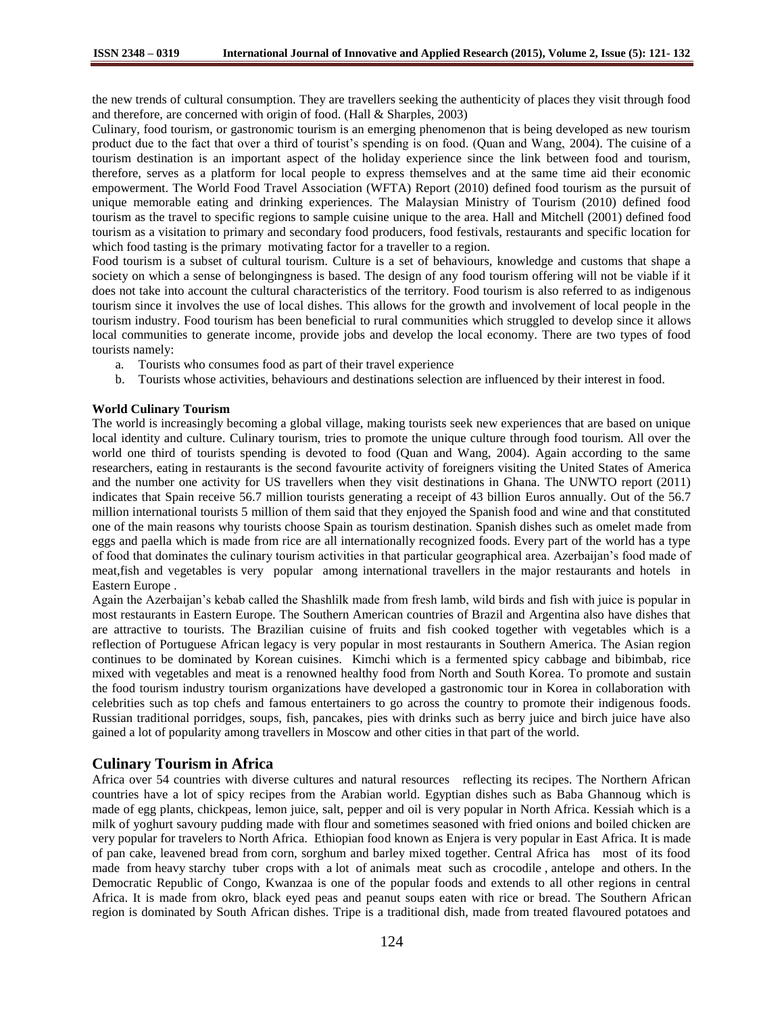the new trends of cultural consumption. They are travellers seeking the authenticity of places they visit through food and therefore, are concerned with origin of food. (Hall & Sharples, 2003)

Culinary, food tourism, or gastronomic tourism is an emerging phenomenon that is being developed as new tourism product due to the fact that over a third of tourist's spending is on food. (Quan and Wang, 2004). The cuisine of a tourism destination is an important aspect of the holiday experience since the link between food and tourism, therefore, serves as a platform for local people to express themselves and at the same time aid their economic empowerment. The World Food Travel Association (WFTA) Report (2010) defined food tourism as the pursuit of unique memorable eating and drinking experiences. The Malaysian Ministry of Tourism (2010) defined food tourism as the travel to specific regions to sample cuisine unique to the area. Hall and Mitchell (2001) defined food tourism as a visitation to primary and secondary food producers, food festivals, restaurants and specific location for which food tasting is the primary motivating factor for a traveller to a region.

Food tourism is a subset of cultural tourism. Culture is a set of behaviours, knowledge and customs that shape a society on which a sense of belongingness is based. The design of any food tourism offering will not be viable if it does not take into account the cultural characteristics of the territory. Food tourism is also referred to as indigenous tourism since it involves the use of local dishes. This allows for the growth and involvement of local people in the tourism industry. Food tourism has been beneficial to rural communities which struggled to develop since it allows local communities to generate income, provide jobs and develop the local economy. There are two types of food tourists namely:

- a. Tourists who consumes food as part of their travel experience
- b. Tourists whose activities, behaviours and destinations selection are influenced by their interest in food.

#### **World Culinary Tourism**

The world is increasingly becoming a global village, making tourists seek new experiences that are based on unique local identity and culture. Culinary tourism, tries to promote the unique culture through food tourism. All over the world one third of tourists spending is devoted to food (Quan and Wang, 2004). Again according to the same researchers, eating in restaurants is the second favourite activity of foreigners visiting the United States of America and the number one activity for US travellers when they visit destinations in Ghana. The UNWTO report (2011) indicates that Spain receive 56.7 million tourists generating a receipt of 43 billion Euros annually. Out of the 56.7 million international tourists 5 million of them said that they enjoyed the Spanish food and wine and that constituted one of the main reasons why tourists choose Spain as tourism destination. Spanish dishes such as omelet made from eggs and paella which is made from rice are all internationally recognized foods. Every part of the world has a type of food that dominates the culinary tourism activities in that particular geographical area. Azerbaijan's food made of meat,fish and vegetables is very popular among international travellers in the major restaurants and hotels in Eastern Europe .

Again the Azerbaijan's kebab called the Shashlilk made from fresh lamb, wild birds and fish with juice is popular in most restaurants in Eastern Europe. The Southern American countries of Brazil and Argentina also have dishes that are attractive to tourists. The Brazilian cuisine of fruits and fish cooked together with vegetables which is a reflection of Portuguese African legacy is very popular in most restaurants in Southern America. The Asian region continues to be dominated by Korean cuisines. Kimchi which is a fermented spicy cabbage and bibimbab, rice mixed with vegetables and meat is a renowned healthy food from North and South Korea. To promote and sustain the food tourism industry tourism organizations have developed a gastronomic tour in Korea in collaboration with celebrities such as top chefs and famous entertainers to go across the country to promote their indigenous foods. Russian traditional porridges, soups, fish, pancakes, pies with drinks such as berry juice and birch juice have also gained a lot of popularity among travellers in Moscow and other cities in that part of the world.

### **Culinary Tourism in Africa**

Africa over 54 countries with diverse cultures and natural resources reflecting its recipes. The Northern African countries have a lot of spicy recipes from the Arabian world. Egyptian dishes such as Baba Ghannoug which is made of egg plants, chickpeas, lemon juice, salt, pepper and oil is very popular in North Africa. Kessiah which is a milk of yoghurt savoury pudding made with flour and sometimes seasoned with fried onions and boiled chicken are very popular for travelers to North Africa. Ethiopian food known as Enjera is very popular in East Africa. It is made of pan cake, leavened bread from corn, sorghum and barley mixed together. Central Africa has most of its food made from heavy starchy tuber crops with a lot of animals meat such as crocodile , antelope and others. In the Democratic Republic of Congo, Kwanzaa is one of the popular foods and extends to all other regions in central Africa. It is made from okro, black eyed peas and peanut soups eaten with rice or bread. The Southern African region is dominated by South African dishes. Tripe is a traditional dish, made from treated flavoured potatoes and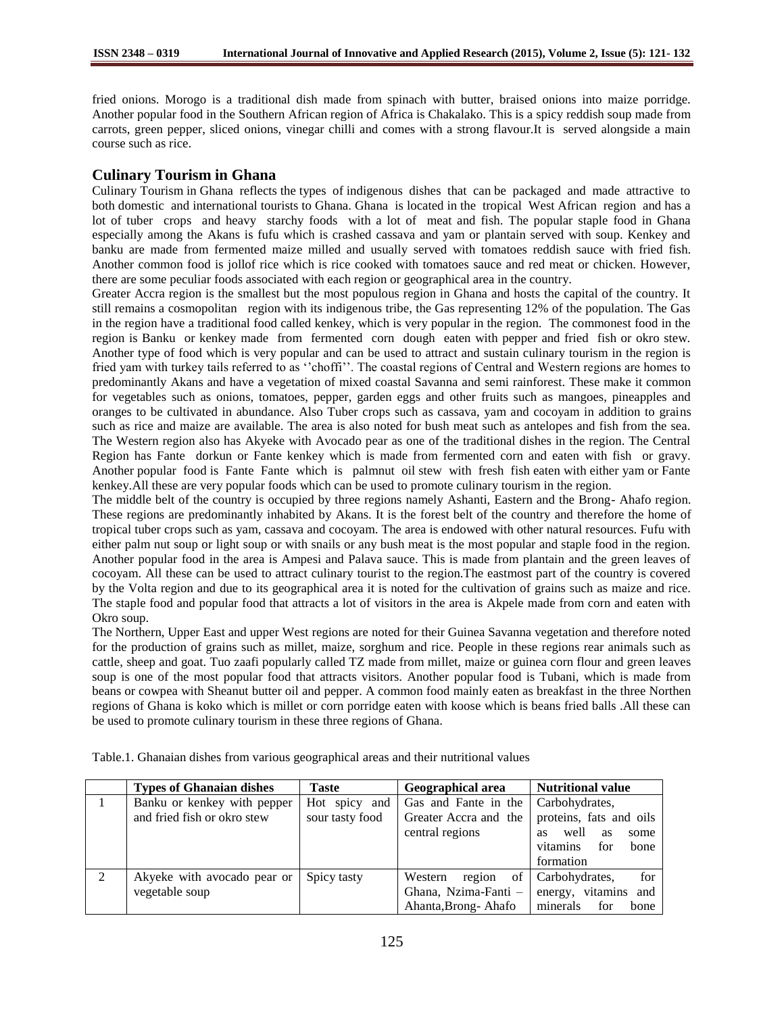fried onions. Morogo is a traditional dish made from spinach with butter, braised onions into maize porridge. Another popular food in the Southern African region of Africa is Chakalako. This is a spicy reddish soup made from carrots, green pepper, sliced onions, vinegar chilli and comes with a strong flavour.It is served alongside a main course such as rice.

# **Culinary Tourism in Ghana**

Culinary Tourism in Ghana reflects the types of indigenous dishes that can be packaged and made attractive to both domestic and international tourists to Ghana. Ghana is located in the tropical West African region and has a lot of tuber crops and heavy starchy foods with a lot of meat and fish. The popular staple food in Ghana especially among the Akans is fufu which is crashed cassava and yam or plantain served with soup. Kenkey and banku are made from fermented maize milled and usually served with tomatoes reddish sauce with fried fish. Another common food is jollof rice which is rice cooked with tomatoes sauce and red meat or chicken. However, there are some peculiar foods associated with each region or geographical area in the country.

Greater Accra region is the smallest but the most populous region in Ghana and hosts the capital of the country. It still remains a cosmopolitan region with its indigenous tribe, the Gas representing 12% of the population. The Gas in the region have a traditional food called kenkey, which is very popular in the region. The commonest food in the region is Banku or kenkey made from fermented corn dough eaten with pepper and fried fish or okro stew. Another type of food which is very popular and can be used to attract and sustain culinary tourism in the region is fried yam with turkey tails referred to as ''choffi''. The coastal regions of Central and Western regions are homes to predominantly Akans and have a vegetation of mixed coastal Savanna and semi rainforest. These make it common for vegetables such as onions, tomatoes, pepper, garden eggs and other fruits such as mangoes, pineapples and oranges to be cultivated in abundance. Also Tuber crops such as cassava, yam and cocoyam in addition to grains such as rice and maize are available. The area is also noted for bush meat such as antelopes and fish from the sea. The Western region also has Akyeke with Avocado pear as one of the traditional dishes in the region. The Central Region has Fante dorkun or Fante kenkey which is made from fermented corn and eaten with fish or gravy. Another popular food is Fante Fante which is palmnut oil stew with fresh fish eaten with either yam or Fante kenkey.All these are very popular foods which can be used to promote culinary tourism in the region.

The middle belt of the country is occupied by three regions namely Ashanti, Eastern and the Brong- Ahafo region. These regions are predominantly inhabited by Akans. It is the forest belt of the country and therefore the home of tropical tuber crops such as yam, cassava and cocoyam. The area is endowed with other natural resources. Fufu with either palm nut soup or light soup or with snails or any bush meat is the most popular and staple food in the region. Another popular food in the area is Ampesi and Palava sauce. This is made from plantain and the green leaves of cocoyam. All these can be used to attract culinary tourist to the region.The eastmost part of the country is covered by the Volta region and due to its geographical area it is noted for the cultivation of grains such as maize and rice. The staple food and popular food that attracts a lot of visitors in the area is Akpele made from corn and eaten with Okro soup.

The Northern, Upper East and upper West regions are noted for their Guinea Savanna vegetation and therefore noted for the production of grains such as millet, maize, sorghum and rice. People in these regions rear animals such as cattle, sheep and goat. Tuo zaafi popularly called TZ made from millet, maize or guinea corn flour and green leaves soup is one of the most popular food that attracts visitors. Another popular food is Tubani, which is made from beans or cowpea with Sheanut butter oil and pepper. A common food mainly eaten as breakfast in the three Northen regions of Ghana is koko which is millet or corn porridge eaten with koose which is beans fried balls .All these can be used to promote culinary tourism in these three regions of Ghana.

|   | <b>Types of Ghanaian dishes</b> | <b>Taste</b>    | Geographical area       | <b>Nutritional value</b> |
|---|---------------------------------|-----------------|-------------------------|--------------------------|
|   | Banku or kenkey with pepper     | Hot spicy and   | Gas and Fante in the    | Carbohydrates,           |
|   | and fried fish or okro stew     | sour tasty food | Greater Accra and the   | proteins, fats and oils  |
|   |                                 |                 | central regions         | well<br>as<br>some<br>as |
|   |                                 |                 |                         | vitamins<br>for<br>bone  |
|   |                                 |                 |                         | formation                |
| 2 | Akyeke with avocado pear or     | Spicy tasty     | of<br>Western<br>region | for<br>Carbohydrates,    |
|   | vegetable soup                  |                 | Ghana, Nzima-Fanti -    | energy, vitamins and     |
|   |                                 |                 | Ahanta, Brong-Ahafo     | minerals<br>for<br>bone  |

Table.1. Ghanaian dishes from various geographical areas and their nutritional values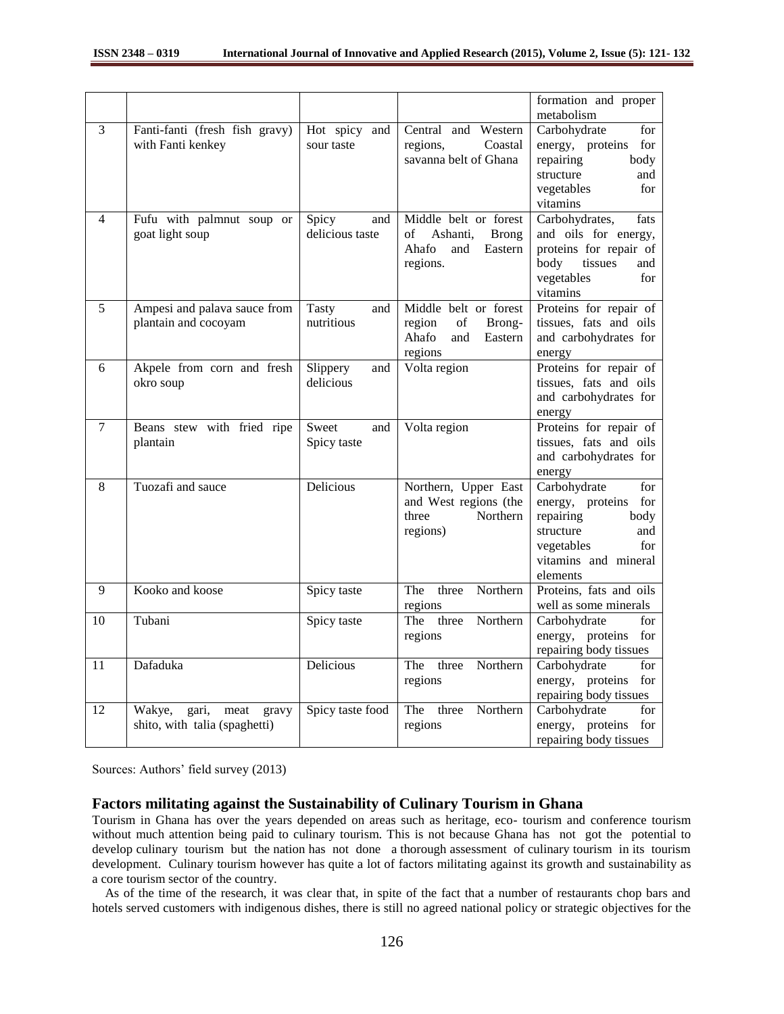|                  |                                                                   |                                   |                                                                                                | formation and proper<br>metabolism                                                                                                               |
|------------------|-------------------------------------------------------------------|-----------------------------------|------------------------------------------------------------------------------------------------|--------------------------------------------------------------------------------------------------------------------------------------------------|
| 3                | Fanti-fanti (fresh fish gravy)<br>with Fanti kenkey               | Hot spicy and<br>sour taste       | Central and Western<br>Coastal<br>regions,<br>savanna belt of Ghana                            | Carbohydrate<br>for<br>energy, proteins<br>for<br>repairing<br>body<br>structure<br>and<br>vegetables<br>for<br>vitamins                         |
| $\overline{4}$   | Fufu with palmnut soup or<br>goat light soup                      | Spicy<br>and<br>delicious taste   | Middle belt or forest<br>Ashanti,<br>οf<br><b>Brong</b><br>Ahafo<br>and<br>Eastern<br>regions. | Carbohydrates,<br>fats<br>and oils for energy,<br>proteins for repair of<br>body<br>tissues<br>and<br>vegetables<br>for<br>vitamins              |
| 5                | Ampesi and palava sauce from<br>plantain and cocoyam              | <b>Tasty</b><br>and<br>nutritious | Middle belt or forest<br>of<br>region<br>Brong-<br>Ahafo<br>and<br>Eastern<br>regions          | Proteins for repair of<br>tissues, fats and oils<br>and carbohydrates for<br>energy                                                              |
| 6                | Akpele from corn and fresh<br>okro soup                           | Slippery<br>and<br>delicious      | Volta region                                                                                   | Proteins for repair of<br>tissues, fats and oils<br>and carbohydrates for<br>energy                                                              |
| $\boldsymbol{7}$ | Beans stew with fried ripe<br>plantain                            | Sweet<br>and<br>Spicy taste       | Volta region                                                                                   | Proteins for repair of<br>tissues, fats and oils<br>and carbohydrates for<br>energy                                                              |
| 8                | Tuozafi and sauce                                                 | Delicious                         | Northern, Upper East<br>and West regions (the<br>Northern<br>three<br>regions)                 | Carbohydrate<br>for<br>energy, proteins<br>for<br>repairing<br>body<br>structure<br>and<br>vegetables<br>for<br>vitamins and mineral<br>elements |
| 9                | Kooko and koose                                                   | Spicy taste                       | Northern<br>three<br>The<br>regions                                                            | Proteins, fats and oils<br>well as some minerals                                                                                                 |
| 10               | Tubani                                                            | Spicy taste                       | The<br>three<br>Northern<br>regions                                                            | Carbohydrate<br>for<br>energy, proteins<br>for<br>repairing body tissues                                                                         |
| 11               | Dafaduka                                                          | Delicious                         | The<br>three<br>Northern<br>regions                                                            | Carbohydrate<br>for<br>for<br>energy, proteins<br>repairing body tissues                                                                         |
| 12               | Wakye,<br>meat<br>gari,<br>gravy<br>shito, with talia (spaghetti) | Spicy taste food                  | The<br>Northern<br>three<br>regions                                                            | Carbohydrate<br>for<br>energy, proteins<br>for<br>repairing body tissues                                                                         |

Sources: Authors' field survey (2013)

### **Factors militating against the Sustainability of Culinary Tourism in Ghana**

Tourism in Ghana has over the years depended on areas such as heritage, eco- tourism and conference tourism without much attention being paid to culinary tourism. This is not because Ghana has not got the potential to develop culinary tourism but the nation has not done a thorough assessment of culinary tourism in its tourism development. Culinary tourism however has quite a lot of factors militating against its growth and sustainability as a core tourism sector of the country.

 As of the time of the research, it was clear that, in spite of the fact that a number of restaurants chop bars and hotels served customers with indigenous dishes, there is still no agreed national policy or strategic objectives for the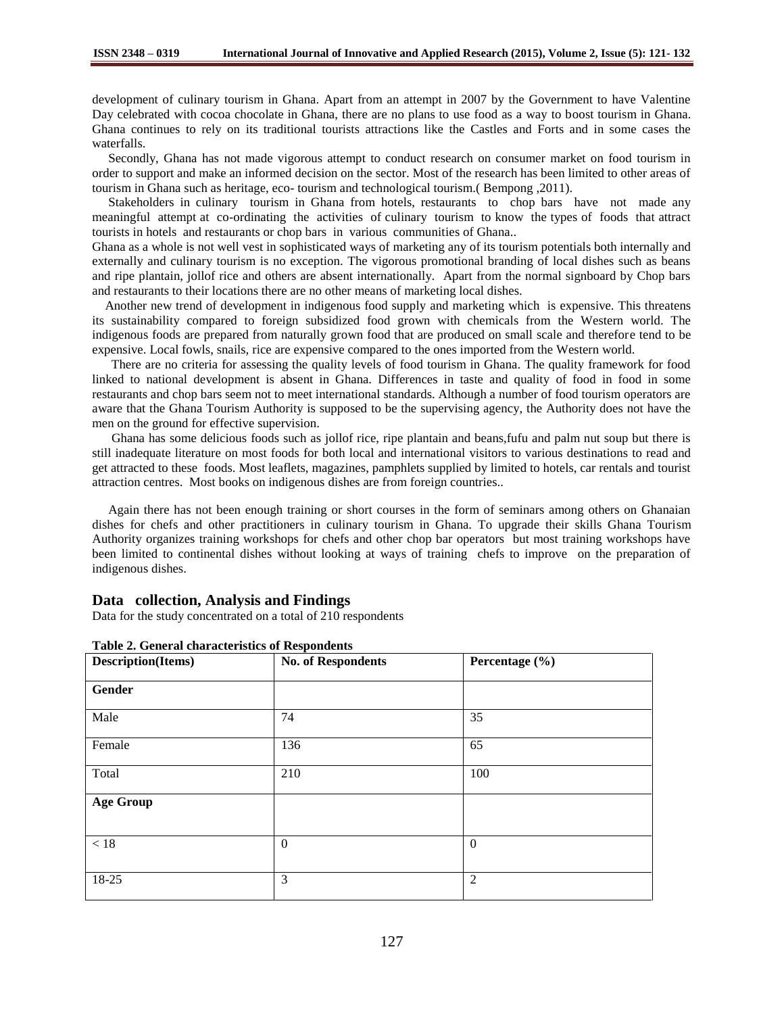development of culinary tourism in Ghana. Apart from an attempt in 2007 by the Government to have Valentine Day celebrated with cocoa chocolate in Ghana, there are no plans to use food as a way to boost tourism in Ghana. Ghana continues to rely on its traditional tourists attractions like the Castles and Forts and in some cases the waterfalls.

 Secondly, Ghana has not made vigorous attempt to conduct research on consumer market on food tourism in order to support and make an informed decision on the sector. Most of the research has been limited to other areas of tourism in Ghana such as heritage, eco- tourism and technological tourism.( Bempong ,2011).

 Stakeholders in culinary tourism in Ghana from hotels, restaurants to chop bars have not made any meaningful attempt at co-ordinating the activities of culinary tourism to know the types of foods that attract tourists in hotels and restaurants or chop bars in various communities of Ghana..

Ghana as a whole is not well vest in sophisticated ways of marketing any of its tourism potentials both internally and externally and culinary tourism is no exception. The vigorous promotional branding of local dishes such as beans and ripe plantain, jollof rice and others are absent internationally. Apart from the normal signboard by Chop bars and restaurants to their locations there are no other means of marketing local dishes.

 Another new trend of development in indigenous food supply and marketing which is expensive. This threatens its sustainability compared to foreign subsidized food grown with chemicals from the Western world. The indigenous foods are prepared from naturally grown food that are produced on small scale and therefore tend to be expensive. Local fowls, snails, rice are expensive compared to the ones imported from the Western world.

 There are no criteria for assessing the quality levels of food tourism in Ghana. The quality framework for food linked to national development is absent in Ghana. Differences in taste and quality of food in food in some restaurants and chop bars seem not to meet international standards. Although a number of food tourism operators are aware that the Ghana Tourism Authority is supposed to be the supervising agency, the Authority does not have the men on the ground for effective supervision.

 Ghana has some delicious foods such as jollof rice, ripe plantain and beans,fufu and palm nut soup but there is still inadequate literature on most foods for both local and international visitors to various destinations to read and get attracted to these foods. Most leaflets, magazines, pamphlets supplied by limited to hotels, car rentals and tourist attraction centres. Most books on indigenous dishes are from foreign countries..

 Again there has not been enough training or short courses in the form of seminars among others on Ghanaian dishes for chefs and other practitioners in culinary tourism in Ghana. To upgrade their skills Ghana Tourism Authority organizes training workshops for chefs and other chop bar operators but most training workshops have been limited to continental dishes without looking at ways of training chefs to improve on the preparation of indigenous dishes.

### **Data collection, Analysis and Findings**

Data for the study concentrated on a total of 210 respondents

| <b>Description(Items)</b> | <b>No. of Respondents</b> | Percentage (%)   |  |
|---------------------------|---------------------------|------------------|--|
| Gender                    |                           |                  |  |
| Male                      | 74                        | 35               |  |
| Female                    | 136                       | 65               |  |
| Total                     | 210                       | 100              |  |
| <b>Age Group</b>          |                           |                  |  |
| $<18$                     | $\mathbf{0}$              | $\boldsymbol{0}$ |  |
| 18-25                     | 3                         | $\overline{2}$   |  |

#### **Table 2. General characteristics of Respondents**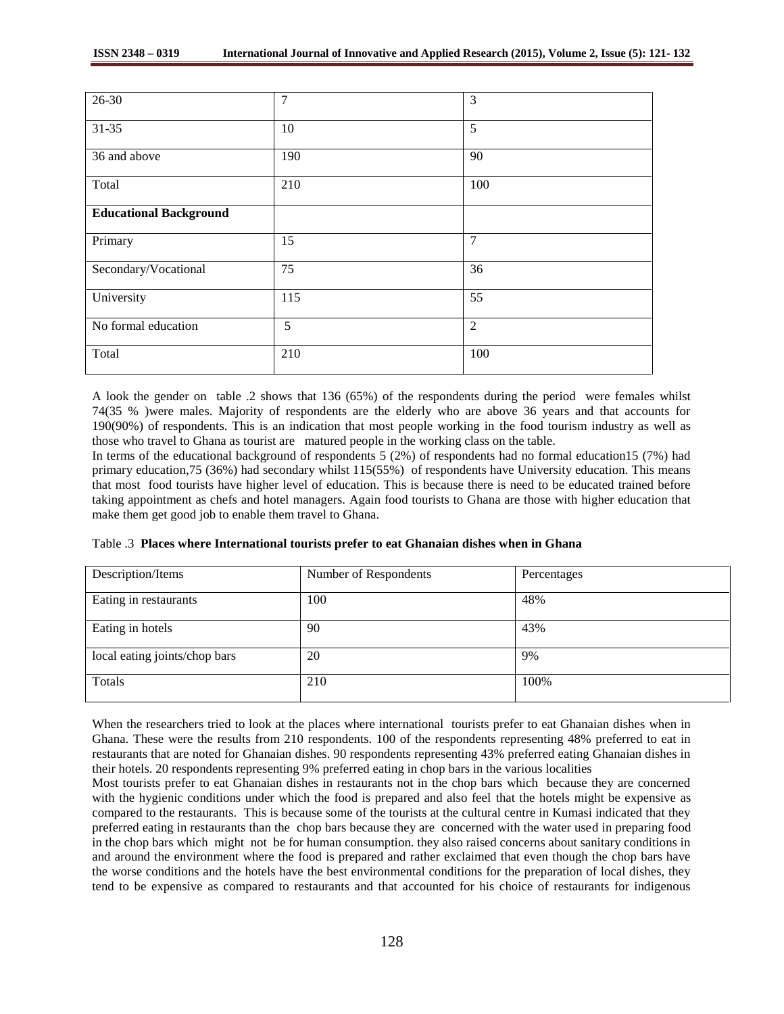| 26-30                         | 7   | 3              |
|-------------------------------|-----|----------------|
| 31-35                         | 10  | 5              |
| 36 and above                  | 190 | 90             |
| Total                         | 210 | 100            |
| <b>Educational Background</b> |     |                |
| Primary                       | 15  | 7              |
| Secondary/Vocational          | 75  | 36             |
| University                    | 115 | 55             |
| No formal education           | 5   | $\overline{2}$ |
| Total                         | 210 | 100            |

A look the gender on table .2 shows that 136 (65%) of the respondents during the period were females whilst 74(35 % )were males. Majority of respondents are the elderly who are above 36 years and that accounts for 190(90%) of respondents. This is an indication that most people working in the food tourism industry as well as those who travel to Ghana as tourist are matured people in the working class on the table.

In terms of the educational background of respondents 5 (2%) of respondents had no formal education15 (7%) had primary education,75 (36%) had secondary whilst 115(55%) of respondents have University education. This means that most food tourists have higher level of education. This is because there is need to be educated trained before taking appointment as chefs and hotel managers. Again food tourists to Ghana are those with higher education that make them get good job to enable them travel to Ghana.

|  |  | Table .3 Places where International tourists prefer to eat Ghanaian dishes when in Ghana |  |  |  |  |  |
|--|--|------------------------------------------------------------------------------------------|--|--|--|--|--|
|--|--|------------------------------------------------------------------------------------------|--|--|--|--|--|

| Description/Items             | Number of Respondents | Percentages |
|-------------------------------|-----------------------|-------------|
| Eating in restaurants         | 100                   | 48%         |
| Eating in hotels              | 90                    | 43%         |
| local eating joints/chop bars | 20                    | 9%          |
| Totals                        | 210                   | 100%        |

When the researchers tried to look at the places where international tourists prefer to eat Ghanaian dishes when in Ghana. These were the results from 210 respondents. 100 of the respondents representing 48% preferred to eat in restaurants that are noted for Ghanaian dishes. 90 respondents representing 43% preferred eating Ghanaian dishes in their hotels. 20 respondents representing 9% preferred eating in chop bars in the various localities

Most tourists prefer to eat Ghanaian dishes in restaurants not in the chop bars which because they are concerned with the hygienic conditions under which the food is prepared and also feel that the hotels might be expensive as compared to the restaurants. This is because some of the tourists at the cultural centre in Kumasi indicated that they preferred eating in restaurants than the chop bars because they are concerned with the water used in preparing food in the chop bars which might not be for human consumption. they also raised concerns about sanitary conditions in and around the environment where the food is prepared and rather exclaimed that even though the chop bars have the worse conditions and the hotels have the best environmental conditions for the preparation of local dishes, they tend to be expensive as compared to restaurants and that accounted for his choice of restaurants for indigenous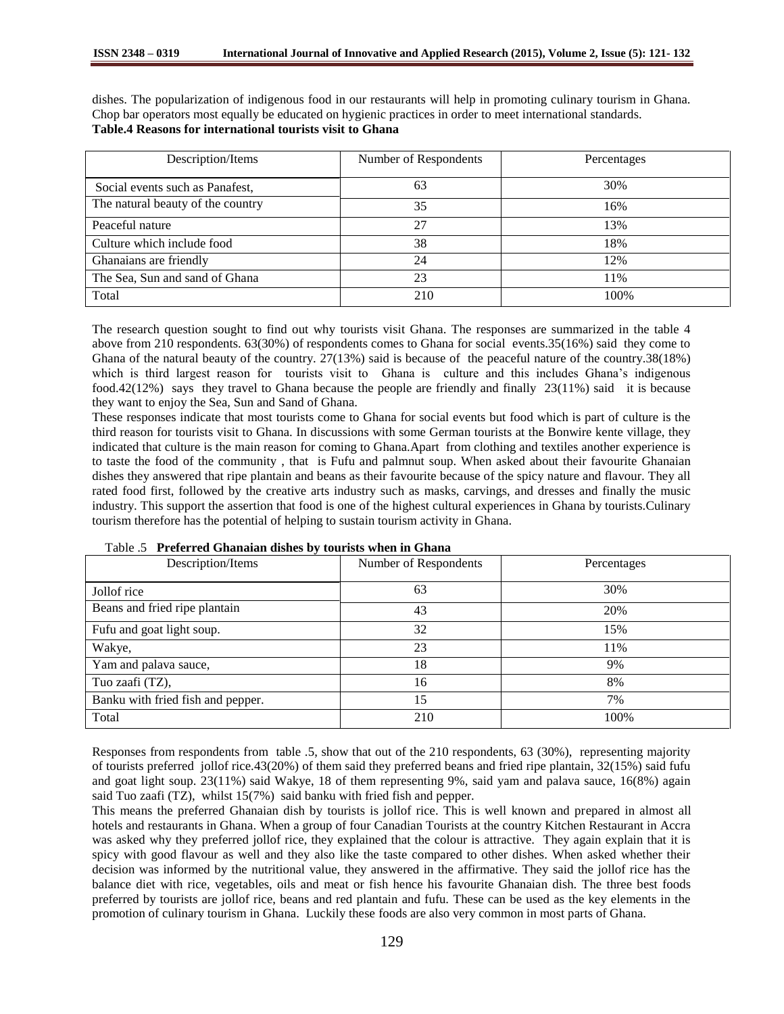dishes. The popularization of indigenous food in our restaurants will help in promoting culinary tourism in Ghana. Chop bar operators most equally be educated on hygienic practices in order to meet international standards. **Table.4 Reasons for international tourists visit to Ghana**

| Description/Items                 | Number of Respondents | Percentages |
|-----------------------------------|-----------------------|-------------|
| Social events such as Panafest,   | 63                    | 30%         |
| The natural beauty of the country | 35                    | 16%         |
| Peaceful nature                   | 27                    | 13%         |
| Culture which include food        | 38                    | 18%         |
| Ghanaians are friendly            | 24                    | 12%         |
| The Sea, Sun and sand of Ghana    | 23                    | 11%         |
| Total                             | 210                   | 100%        |

The research question sought to find out why tourists visit Ghana. The responses are summarized in the table 4 above from 210 respondents. 63(30%) of respondents comes to Ghana for social events.35(16%) said they come to Ghana of the natural beauty of the country.  $27(13%)$  said is because of the peaceful nature of the country. 38(18%) which is third largest reason for tourists visit to Ghana is culture and this includes Ghana's indigenous food.42(12%) says they travel to Ghana because the people are friendly and finally 23(11%) said it is because they want to enjoy the Sea, Sun and Sand of Ghana.

These responses indicate that most tourists come to Ghana for social events but food which is part of culture is the third reason for tourists visit to Ghana. In discussions with some German tourists at the Bonwire kente village, they indicated that culture is the main reason for coming to Ghana.Apart from clothing and textiles another experience is to taste the food of the community , that is Fufu and palmnut soup. When asked about their favourite Ghanaian dishes they answered that ripe plantain and beans as their favourite because of the spicy nature and flavour. They all rated food first, followed by the creative arts industry such as masks, carvings, and dresses and finally the music industry. This support the assertion that food is one of the highest cultural experiences in Ghana by tourists.Culinary tourism therefore has the potential of helping to sustain tourism activity in Ghana.

| Description/Items                 | Number of Respondents | Percentages |
|-----------------------------------|-----------------------|-------------|
| Jollof rice                       | 63                    | 30%         |
| Beans and fried ripe plantain     | 43                    | 20%         |
| Fufu and goat light soup.         | 32                    | 15%         |
| Wakye,                            | 23                    | 11%         |
| Yam and palava sauce,             | 18                    | 9%          |
| Tuo zaafi (TZ),                   | 16                    | 8%          |
| Banku with fried fish and pepper. | 15                    | 7%          |
| Total                             | 210                   | 100%        |

Table .5 **Preferred Ghanaian dishes by tourists when in Ghana**

Responses from respondents from table .5, show that out of the 210 respondents, 63 (30%), representing majority of tourists preferred jollof rice.43(20%) of them said they preferred beans and fried ripe plantain, 32(15%) said fufu and goat light soup. 23(11%) said Wakye, 18 of them representing 9%, said yam and palava sauce, 16(8%) again said Tuo zaafi (TZ), whilst 15(7%) said banku with fried fish and pepper.

This means the preferred Ghanaian dish by tourists is jollof rice. This is well known and prepared in almost all hotels and restaurants in Ghana. When a group of four Canadian Tourists at the country Kitchen Restaurant in Accra was asked why they preferred jollof rice, they explained that the colour is attractive. They again explain that it is spicy with good flavour as well and they also like the taste compared to other dishes. When asked whether their decision was informed by the nutritional value, they answered in the affirmative. They said the jollof rice has the balance diet with rice, vegetables, oils and meat or fish hence his favourite Ghanaian dish. The three best foods preferred by tourists are jollof rice, beans and red plantain and fufu. These can be used as the key elements in the promotion of culinary tourism in Ghana. Luckily these foods are also very common in most parts of Ghana.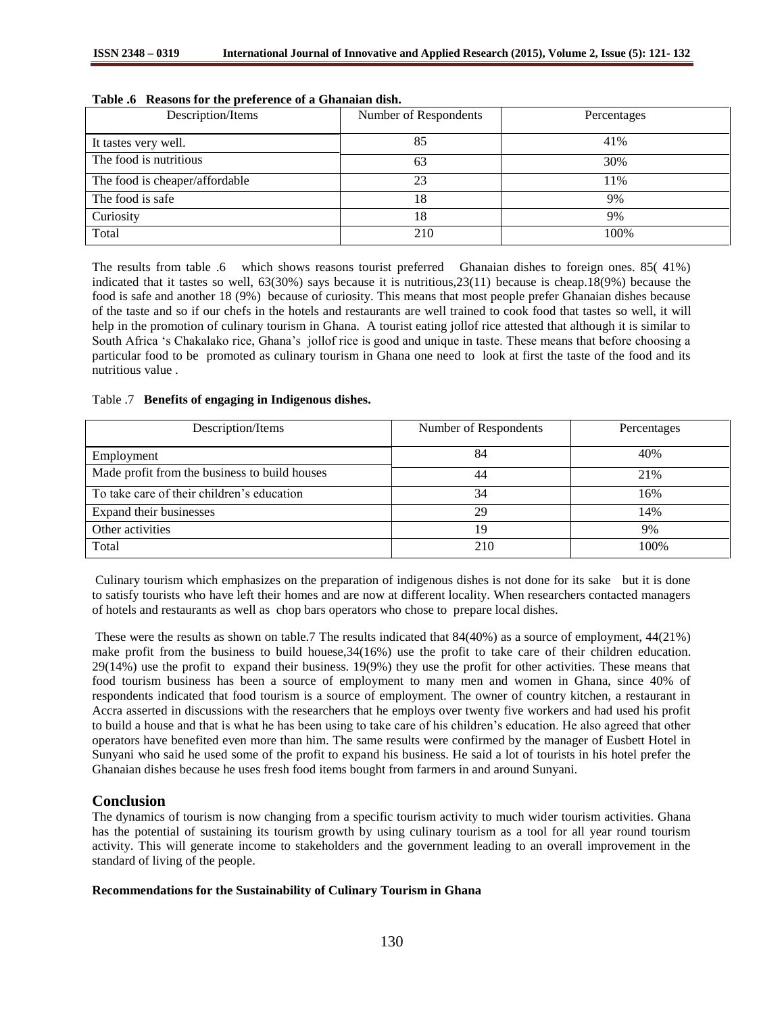| Description/Items              | Number of Respondents | Percentages |
|--------------------------------|-----------------------|-------------|
| It tastes very well.           | 85                    | 41%         |
| The food is nutritious         | 63                    | 30%         |
| The food is cheaper/affordable | 23                    | 11%         |
| The food is safe               | 18                    | 9%          |
| Curiosity                      | 18                    | 9%          |
| Total                          | 210                   | 100%        |

### **Table .6 Reasons for the preference of a Ghanaian dish.**

The results from table .6 which shows reasons tourist preferred Ghanaian dishes to foreign ones. 85( 41%) indicated that it tastes so well, 63(30%) says because it is nutritious,23(11) because is cheap.18(9%) because the food is safe and another 18 (9%) because of curiosity. This means that most people prefer Ghanaian dishes because of the taste and so if our chefs in the hotels and restaurants are well trained to cook food that tastes so well, it will help in the promotion of culinary tourism in Ghana. A tourist eating jollof rice attested that although it is similar to South Africa 's Chakalako rice, Ghana's jollof rice is good and unique in taste. These means that before choosing a particular food to be promoted as culinary tourism in Ghana one need to look at first the taste of the food and its nutritious value .

### Table .7 **Benefits of engaging in Indigenous dishes.**

| Description/Items                             | Number of Respondents | Percentages |
|-----------------------------------------------|-----------------------|-------------|
| Employment                                    | 84                    | 40%         |
| Made profit from the business to build houses | 44                    | 21%         |
| To take care of their children's education    | 34                    | 16%         |
| Expand their businesses                       | 29                    | 14%         |
| Other activities                              | 19                    | 9%          |
| Total                                         | 210                   | 100%        |

Culinary tourism which emphasizes on the preparation of indigenous dishes is not done for its sake but it is done to satisfy tourists who have left their homes and are now at different locality. When researchers contacted managers of hotels and restaurants as well as chop bars operators who chose to prepare local dishes.

These were the results as shown on table.7 The results indicated that 84(40%) as a source of employment, 44(21%) make profit from the business to build houese,34(16%) use the profit to take care of their children education. 29(14%) use the profit to expand their business. 19(9%) they use the profit for other activities. These means that food tourism business has been a source of employment to many men and women in Ghana, since 40% of respondents indicated that food tourism is a source of employment. The owner of country kitchen, a restaurant in Accra asserted in discussions with the researchers that he employs over twenty five workers and had used his profit to build a house and that is what he has been using to take care of his children's education. He also agreed that other operators have benefited even more than him. The same results were confirmed by the manager of Eusbett Hotel in Sunyani who said he used some of the profit to expand his business. He said a lot of tourists in his hotel prefer the Ghanaian dishes because he uses fresh food items bought from farmers in and around Sunyani.

# **Conclusion**

The dynamics of tourism is now changing from a specific tourism activity to much wider tourism activities. Ghana has the potential of sustaining its tourism growth by using culinary tourism as a tool for all year round tourism activity. This will generate income to stakeholders and the government leading to an overall improvement in the standard of living of the people.

### **Recommendations for the Sustainability of Culinary Tourism in Ghana**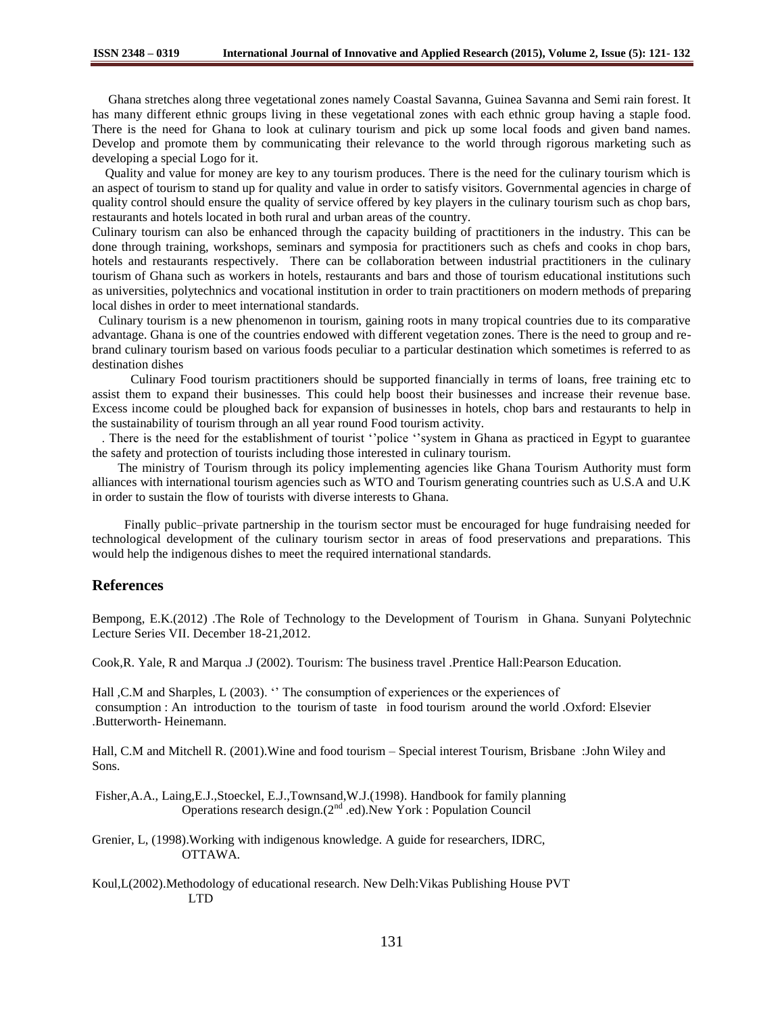Ghana stretches along three vegetational zones namely Coastal Savanna, Guinea Savanna and Semi rain forest. It has many different ethnic groups living in these vegetational zones with each ethnic group having a staple food. There is the need for Ghana to look at culinary tourism and pick up some local foods and given band names. Develop and promote them by communicating their relevance to the world through rigorous marketing such as developing a special Logo for it.

 Quality and value for money are key to any tourism produces. There is the need for the culinary tourism which is an aspect of tourism to stand up for quality and value in order to satisfy visitors. Governmental agencies in charge of quality control should ensure the quality of service offered by key players in the culinary tourism such as chop bars, restaurants and hotels located in both rural and urban areas of the country.

Culinary tourism can also be enhanced through the capacity building of practitioners in the industry. This can be done through training, workshops, seminars and symposia for practitioners such as chefs and cooks in chop bars, hotels and restaurants respectively. There can be collaboration between industrial practitioners in the culinary tourism of Ghana such as workers in hotels, restaurants and bars and those of tourism educational institutions such as universities, polytechnics and vocational institution in order to train practitioners on modern methods of preparing local dishes in order to meet international standards.

 Culinary tourism is a new phenomenon in tourism, gaining roots in many tropical countries due to its comparative advantage. Ghana is one of the countries endowed with different vegetation zones. There is the need to group and rebrand culinary tourism based on various foods peculiar to a particular destination which sometimes is referred to as destination dishes

 Culinary Food tourism practitioners should be supported financially in terms of loans, free training etc to assist them to expand their businesses. This could help boost their businesses and increase their revenue base. Excess income could be ploughed back for expansion of businesses in hotels, chop bars and restaurants to help in the sustainability of tourism through an all year round Food tourism activity.

 . There is the need for the establishment of tourist ''police ''system in Ghana as practiced in Egypt to guarantee the safety and protection of tourists including those interested in culinary tourism.

 The ministry of Tourism through its policy implementing agencies like Ghana Tourism Authority must form alliances with international tourism agencies such as WTO and Tourism generating countries such as U.S.A and U.K in order to sustain the flow of tourists with diverse interests to Ghana.

 Finally public–private partnership in the tourism sector must be encouraged for huge fundraising needed for technological development of the culinary tourism sector in areas of food preservations and preparations. This would help the indigenous dishes to meet the required international standards.

#### **References**

Bempong, E.K.(2012) .The Role of Technology to the Development of Tourism in Ghana. Sunyani Polytechnic Lecture Series VII. December 18-21,2012.

Cook,R. Yale, R and Marqua .J (2002). Tourism: The business travel .Prentice Hall:Pearson Education.

Hall ,C.M and Sharples, L (2003). '' The consumption of experiences or the experiences of consumption : An introduction to the tourism of taste in food tourism around the world .Oxford: Elsevier .Butterworth- Heinemann.

Hall, C.M and Mitchell R. (2001).Wine and food tourism – Special interest Tourism, Brisbane :John Wiley and Sons.

Fisher,A.A., Laing,E.J.,Stoeckel, E.J.,Townsand,W.J.(1998). Handbook for family planning Operations research design.(2nd .ed).New York : Population Council

Grenier, L, (1998).Working with indigenous knowledge. A guide for researchers, IDRC, OTTAWA.

Koul,L(2002).Methodology of educational research. New Delh:Vikas Publishing House PVT LTD